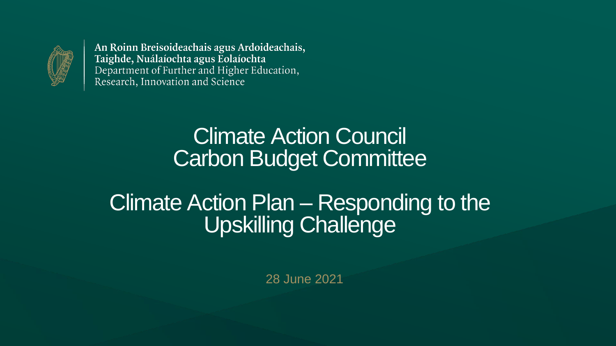

### Climate Action Council Carbon Budget Committee

### Climate Action Plan – Responding to the Upskilling Challenge

28 June 2021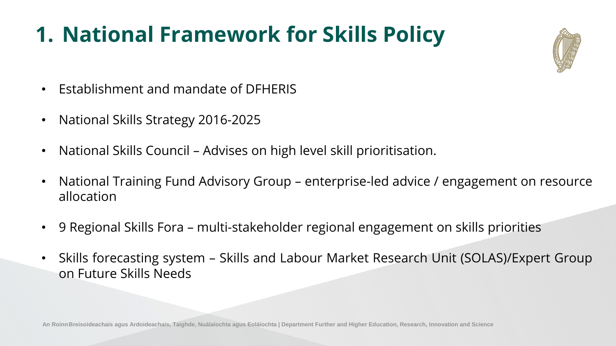







### **1. National Framework for Skills Policy**

- Establishment and mandate of DFHERIS
- National Skills Strategy 2016-2025
- National Skills Council Advises on high level skill prioritisation.
- National Training Fund Advisory Group enterprise-led advice / engagement on resource allocation
- 9 Regional Skills Fora multi-stakeholder regional engagement on skills priorities
- Skills forecasting system Skills and Labour Market Research Unit (SOLAS)/Expert Group on Future Skills Needs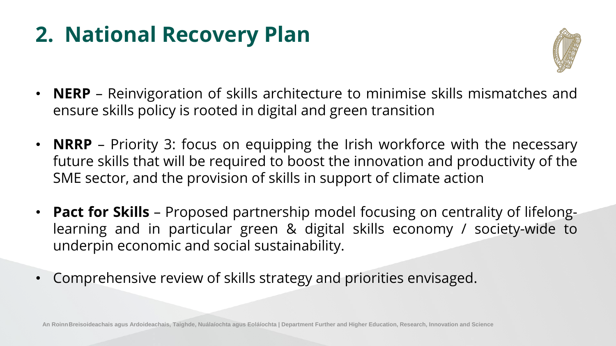





### **2. National Recovery Plan**

- **NERP** Reinvigoration of skills architecture to minimise skills mismatches and ensure skills policy is rooted in digital and green transition
- **NRRP** Priority 3: focus on equipping the Irish workforce with the necessary future skills that will be required to boost the innovation and productivity of the SME sector, and the provision of skills in support of climate action
- **Pact for Skills** Proposed partnership model focusing on centrality of lifelonglearning and in particular green & digital skills economy / society-wide to underpin economic and social sustainability.
- Comprehensive review of skills strategy and priorities envisaged.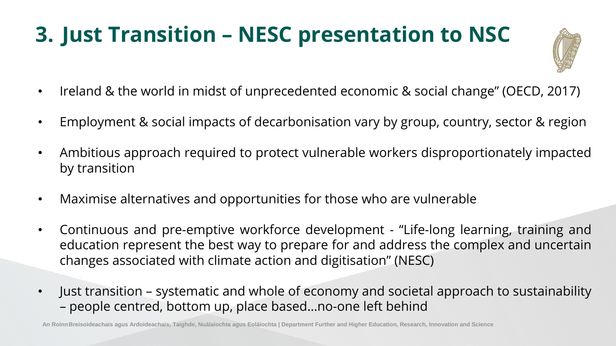



# **3. Just Transition – NESC presentation to NSC**

- Ireland & the world in midst of unprecedented economic & social change" (OECD, 2017)
- Employment & social impacts of decarbonisation vary by group, country, sector & region
- Ambitious approach required to protect vulnerable workers disproportionately impacted by transition
- Maximise alternatives and opportunities for those who are vulnerable
- Continuous and pre-emptive workforce development "Life-long learning, training and education represent the best way to prepare for and address the complex and uncertain changes associated with climate action and digitisation" (NESC)
- Just transition systematic and whole of economy and societal approach to sustainability – people centred, bottom up, place based…no-one left behind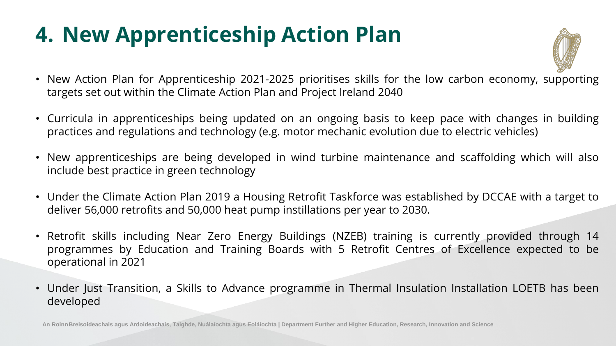



• New Action Plan for Apprenticeship 2021-2025 prioritises skills for the low carbon economy, supporting

# **4. New Apprenticeship Action Plan**

• Curricula in apprenticeships being updated on an ongoing basis to keep pace with changes in building practices and regulations and technology (e.g. motor mechanic evolution due to electric vehicles)

• New apprenticeships are being developed in wind turbine maintenance and scaffolding which will also

- targets set out within the Climate Action Plan and Project Ireland 2040
- 
- include best practice in green technology
- deliver 56,000 retrofits and 50,000 heat pump instillations per year to 2030.
- operational in 2021
- developed

• Under the Climate Action Plan 2019 a Housing Retrofit Taskforce was established by DCCAE with a target to

• Retrofit skills including Near Zero Energy Buildings (NZEB) training is currently provided through 14 programmes by Education and Training Boards with 5 Retrofit Centres of Excellence expected to be

• Under Just Transition, a Skills to Advance programme in Thermal Insulation Installation LOETB has been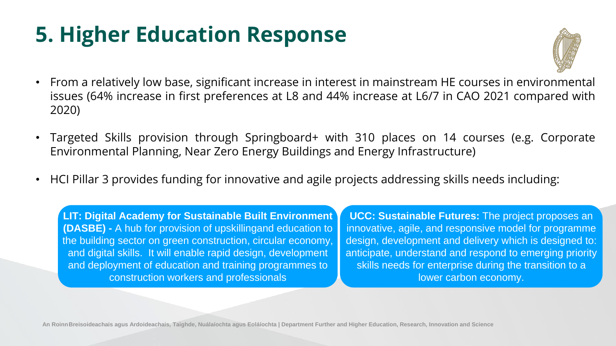



# **5. Higher Education Response**

• From a relatively low base, significant increase in interest in mainstream HE courses in environmental issues (64% increase in first preferences at L8 and 44% increase at L6/7 in CAO 2021 compared with

• Targeted Skills provision through Springboard+ with 310 places on 14 courses (e.g. Corporate

• HCI Pillar 3 provides funding for innovative and agile projects addressing skills needs including:

- 2020)
- Environmental Planning, Near Zero Energy Buildings and Energy Infrastructure)
- 

**UCC: Sustainable Futures:** The project proposes an innovative, agile, and responsive model for programme design, development and delivery which is designed to: anticipate, understand and respond to emerging priority skills needs for enterprise during the transition to a lower carbon economy.





**LIT: Digital Academy for Sustainable Built Environment (DASBE) -** A hub for provision of upskillingand education to the building sector on green construction, circular economy, and digital skills. It will enable rapid design, development and deployment of education and training programmes to construction workers and professionals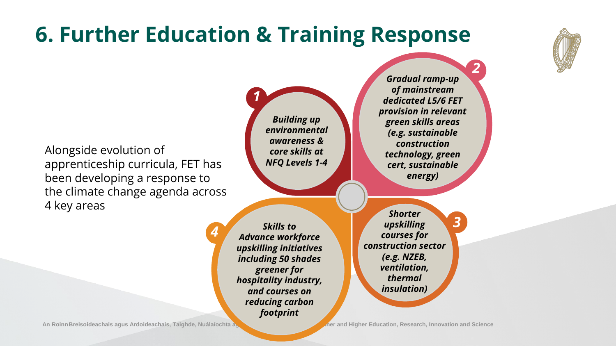### **6. Further Education & Training Response**

*1*

*2*

*3*

*4*

*Skills to Advance workforce upskilling initiatives including 50 shades greener for hospitality industry, and courses on reducing carbon footprint*

An Roinn Breisoideachais agus Ardoideachais, Taighde, Nuálaíochta agus ann and Higher Education, Research, Innovation and Science

*Building up environmental awareness & core skills at NFQ Levels 1-4*

*Gradual ramp-up of mainstream dedicated L5/6 FET provision in relevant green skills areas (e.g. sustainable construction technology, green cert, sustainable energy)* 

Alongside evolution of apprenticeship curricula, FET has been developing a response to the climate change agenda across 4 key areas

*Shorter upskilling courses for construction sector (e.g. NZEB, ventilation, thermal insulation)*



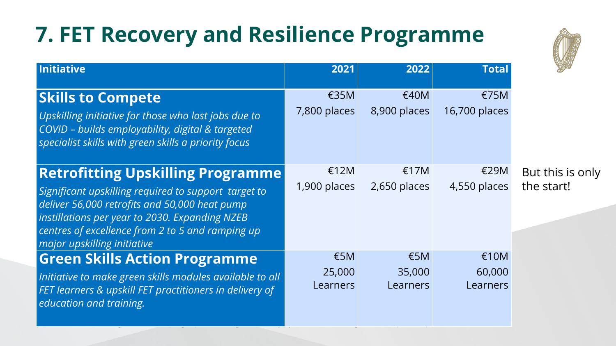## **7. FET Recovery and Resilience Programme**

### **Skills to Compete**

### **Retrofitting Upskilling Programme**

| <b>Initiative</b>                                                                                                                                                                                                                                                                      | 2021                                | 2022                                       | <b>Total</b>               | SEA                       |
|----------------------------------------------------------------------------------------------------------------------------------------------------------------------------------------------------------------------------------------------------------------------------------------|-------------------------------------|--------------------------------------------|----------------------------|---------------------------|
| <b>Skills to Compete</b><br>Upskilling initiative for those who lost jobs due to<br>COVID - builds employability, digital & targeted<br>specialist skills with green skills a priority focus                                                                                           | €35M<br>7,800 places                | €40M<br>8,900 places                       | E75M<br>16,700 places      |                           |
| <b>Retrofitting Upskilling Programme</b><br>Significant upskilling required to support target to<br>deliver 56,000 retrofits and 50,000 heat pump<br>instillations per year to 2030. Expanding NZEB<br>centres of excellence from 2 to 5 and ramping up<br>major upskilling initiative | £12M<br>1,900 places                | £17M<br>$2,650$ places                     | €29M<br>4,550 places       | But this is<br>the start! |
| <b>Green Skills Action Programme</b><br>Initiative to make green skills modules available to all<br>FET learners & upskill FET practitioners in delivery of<br>education and training.                                                                                                 | $\epsilon$ 5M<br>25,000<br>Learners | $\epsilon$ 5M<br>35,000<br><b>Learners</b> | £10M<br>60,000<br>Learners |                           |



### is only



### **Green Skills Action Programme**

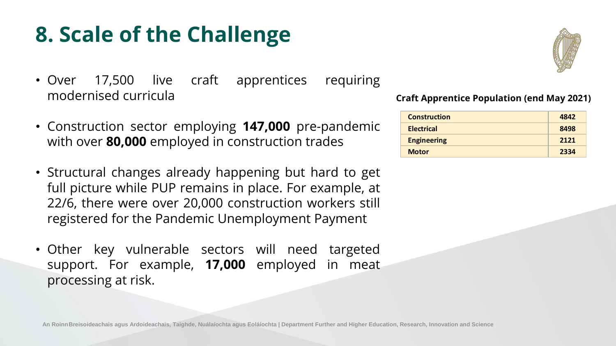

## **8. Scale of the Challenge**

- Over 17,500 live craft apprentices requiring modernised curricula
- Construction sector employing **147,000** pre-pandemic with over **80,000** employed in construction trades
- Structural changes already happening but hard to get full picture while PUP remains in place. For example, at 22/6, there were over 20,000 construction workers still registered for the Pandemic Unemployment Payment
- Other key vulnerable sectors will need targeted support. For example, **17,000** employed in meat processing at risk.

| <b>Construction</b> | 4842 |
|---------------------|------|
| <b>Electrical</b>   | 8498 |
| <b>Engineering</b>  | 2121 |
| <b>Motor</b>        | 2334 |



### **Craft Apprentice Population (end May 2021)**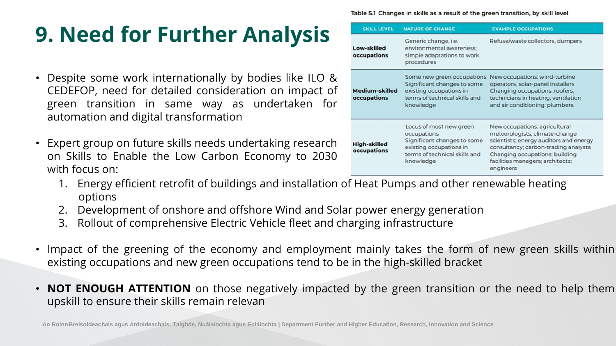|                                  | <b>SKILL LEVEL</b>                   | <b>NATURE OF CHANGE</b>                                                                                                                        | <b>EXAMPLE OCCUPATIONS</b>                                                                                                                                                                                                  |
|----------------------------------|--------------------------------------|------------------------------------------------------------------------------------------------------------------------------------------------|-----------------------------------------------------------------------------------------------------------------------------------------------------------------------------------------------------------------------------|
| ysis                             | <b>Low-skilled</b><br>occupations    | Generic change, i.e.<br>environmental awareness;<br>simple adaptations to work<br>procedures                                                   | Refuse/waste collectors, dumper                                                                                                                                                                                             |
| ke ILO &<br>mpact of<br>aken for | <b>Medium-skilled</b><br>occupations | Some new green occupations<br>Significant changes to some<br>existing occupations in<br>terms of technical skills and<br>knowledge             | New occupations: wind-turbine<br>operators, solar-panel installers<br>Changing occupations: roofers;<br>technicians in heating, ventilation<br>and air conditioning; plumbers                                               |
| research<br>to 2030              | <b>High-skilled</b><br>occupations   | Locus of most new green<br>occupations<br>Significant changes to some<br>existing occupations in<br>terms of technical skills and<br>knowledge | New occupations: agricultural<br>meteorologists; climate-change<br>scientists; energy auditors and er<br>consultancy; carbon-trading ana<br>Changing occupations: building<br>facilities managers; architects;<br>engineers |

Table 5.1 Changes in skills as a result of the green transition, by skill level

### **9. Need for Further Analysis**

- Despite some work internationally by bodies lil CEDEFOP, need for detailed consideration on in green transition in same way as underta automation and digital transformation
- Expert group on future skills needs undertaking on Skills to Enable the Low Carbon Economy with focus on:
	- options
	- 2. Development of onshore and offshore Wind and Solar power energy generation
	- 3. Rollout of comprehensive Electric Vehicle fleet and charging infrastructure
- existing occupations and new green occupations tend to be in the high-skilled bracket
- upskill to ensure their skills remain relevan

1. Energy efficient retrofit of buildings and installation of Heat Pumps and other renewable heating

• Impact of the greening of the economy and employment mainly takes the form of new green skills within

• **NOT ENOUGH ATTENTION** on those negatively impacted by the green transition or the need to help them